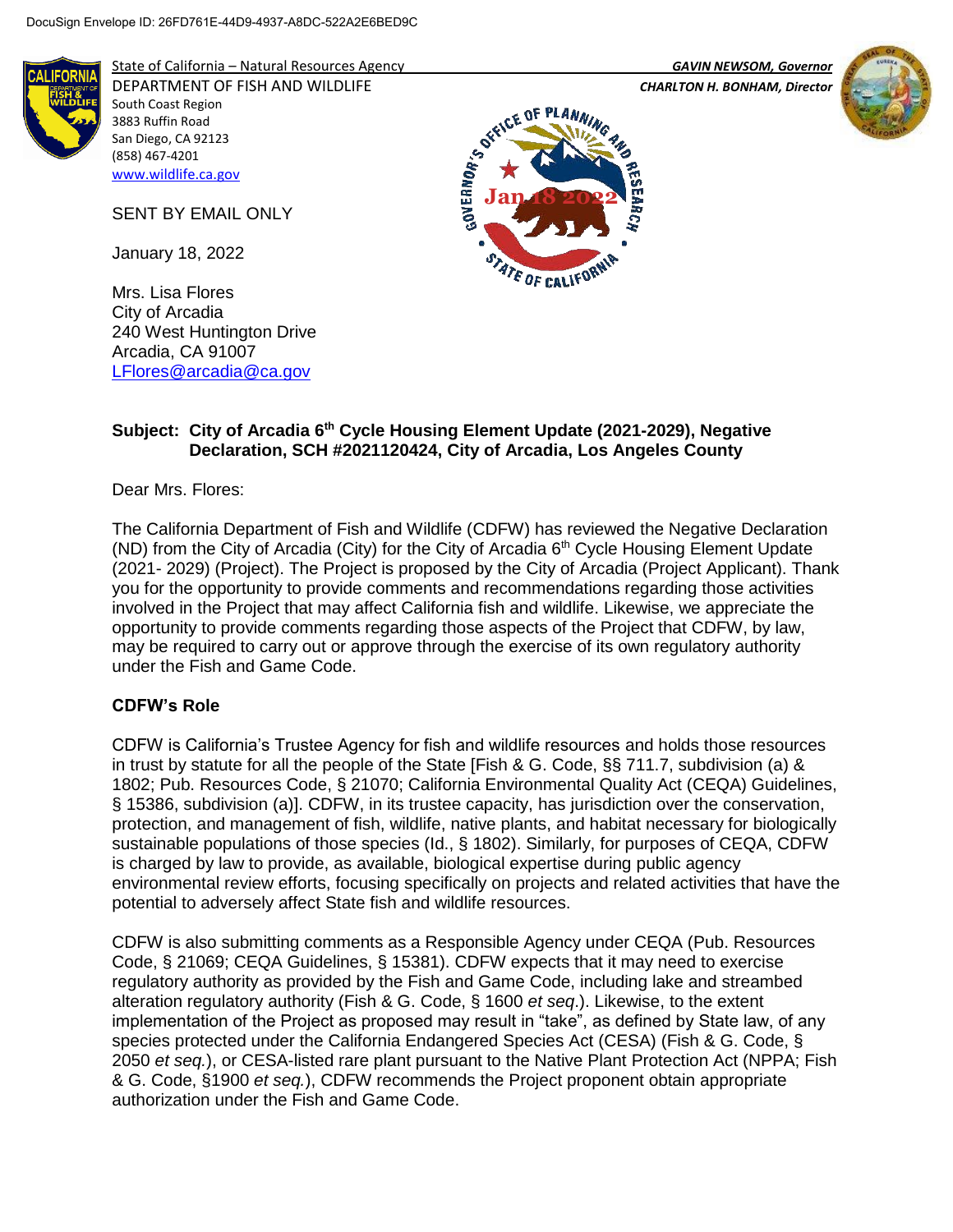

State of California – Natural Resources Agency *GAVIN NEWSOM, Governor*

DEPARTMENT OF FISH AND WILDLIFE *CHARLTON H. BONHAM, Director*  South Coast Region 3883 Ruffin Road San Diego, CA 92123 (858) 467-4201 [www.wildlife.ca.gov](http://www.wildlife.ca.gov/)

SENT BY EMAIL ONLY

January 18, 2022

Mrs. Lisa Flores City of Arcadia 240 West Huntington Drive Arcadia, CA 91007 [LFlores@arcadia@ca.gov](mailto:LFlores@arcadia@ca.gov)





## **Subject: City of Arcadia 6th Cycle Housing Element Update (2021-2029), Negative Declaration, SCH #2021120424, City of Arcadia, Los Angeles County**

Dear Mrs. Flores:

The California Department of Fish and Wildlife (CDFW) has reviewed the Negative Declaration (ND) from the City of Arcadia (City) for the City of Arcadia  $6<sup>th</sup>$  Cycle Housing Element Update (2021- 2029) (Project). The Project is proposed by the City of Arcadia (Project Applicant). Thank you for the opportunity to provide comments and recommendations regarding those activities involved in the Project that may affect California fish and wildlife. Likewise, we appreciate the opportunity to provide comments regarding those aspects of the Project that CDFW, by law, may be required to carry out or approve through the exercise of its own regulatory authority under the Fish and Game Code.

## **CDFW's Role**

CDFW is California's Trustee Agency for fish and wildlife resources and holds those resources in trust by statute for all the people of the State [Fish & G. Code, §§ 711.7, subdivision (a) & 1802; Pub. Resources Code, § 21070; California Environmental Quality Act (CEQA) Guidelines, § 15386, subdivision (a)]. CDFW, in its trustee capacity, has jurisdiction over the conservation, protection, and management of fish, wildlife, native plants, and habitat necessary for biologically sustainable populations of those species (Id., § 1802). Similarly, for purposes of CEQA, CDFW is charged by law to provide, as available, biological expertise during public agency environmental review efforts, focusing specifically on projects and related activities that have the potential to adversely affect State fish and wildlife resources.

CDFW is also submitting comments as a Responsible Agency under CEQA (Pub. Resources Code, § 21069; CEQA Guidelines, § 15381). CDFW expects that it may need to exercise regulatory authority as provided by the Fish and Game Code, including lake and streambed alteration regulatory authority (Fish & G. Code, § 1600 *et seq*.). Likewise, to the extent implementation of the Project as proposed may result in "take", as defined by State law, of any species protected under the California Endangered Species Act (CESA) (Fish & G. Code, § 2050 *et seq.*), or CESA-listed rare plant pursuant to the Native Plant Protection Act (NPPA; Fish & G. Code, §1900 *et seq.*), CDFW recommends the Project proponent obtain appropriate authorization under the Fish and Game Code.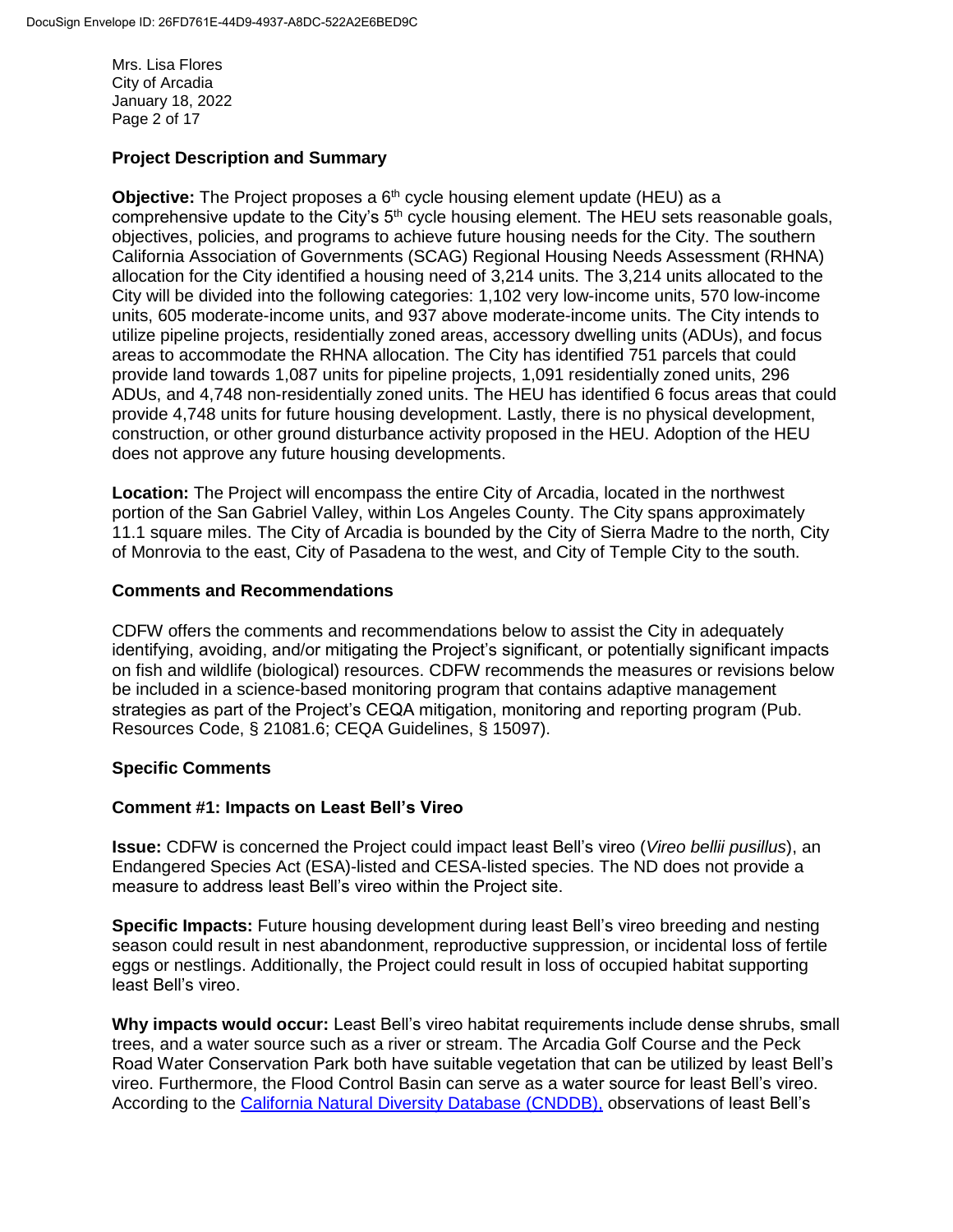Mrs. Lisa Flores City of Arcadia January 18, 2022 Page 2 of 17

# **Project Description and Summary**

**Objective:** The Project proposes a 6<sup>th</sup> cycle housing element update (HEU) as a comprehensive update to the City's  $5<sup>th</sup>$  cycle housing element. The HEU sets reasonable goals, objectives, policies, and programs to achieve future housing needs for the City. The southern California Association of Governments (SCAG) Regional Housing Needs Assessment (RHNA) allocation for the City identified a housing need of 3,214 units. The 3,214 units allocated to the City will be divided into the following categories: 1,102 very low-income units, 570 low-income units, 605 moderate-income units, and 937 above moderate-income units. The City intends to utilize pipeline projects, residentially zoned areas, accessory dwelling units (ADUs), and focus areas to accommodate the RHNA allocation. The City has identified 751 parcels that could provide land towards 1,087 units for pipeline projects, 1,091 residentially zoned units, 296 ADUs, and 4,748 non-residentially zoned units. The HEU has identified 6 focus areas that could provide 4,748 units for future housing development. Lastly, there is no physical development, construction, or other ground disturbance activity proposed in the HEU. Adoption of the HEU does not approve any future housing developments.

**Location:** The Project will encompass the entire City of Arcadia, located in the northwest portion of the San Gabriel Valley, within Los Angeles County. The City spans approximately 11.1 square miles. The City of Arcadia is bounded by the City of Sierra Madre to the north, City of Monrovia to the east, City of Pasadena to the west, and City of Temple City to the south.

## **Comments and Recommendations**

CDFW offers the comments and recommendations below to assist the City in adequately identifying, avoiding, and/or mitigating the Project's significant, or potentially significant impacts on fish and wildlife (biological) resources. CDFW recommends the measures or revisions below be included in a science-based monitoring program that contains adaptive management strategies as part of the Project's CEQA mitigation, monitoring and reporting program (Pub. Resources Code, § 21081.6; CEQA Guidelines, § 15097).

## **Specific Comments**

## **Comment #1: Impacts on Least Bell's Vireo**

**Issue:** CDFW is concerned the Project could impact least Bell's vireo (*Vireo bellii pusillus*), an Endangered Species Act (ESA)-listed and CESA-listed species. The ND does not provide a measure to address least Bell's vireo within the Project site.

**Specific Impacts:** Future housing development during least Bell's vireo breeding and nesting season could result in nest abandonment, reproductive suppression, or incidental loss of fertile eggs or nestlings. Additionally, the Project could result in loss of occupied habitat supporting least Bell's vireo.

**Why impacts would occur:** Least Bell's vireo habitat requirements include dense shrubs, small trees, and a water source such as a river or stream. The Arcadia Golf Course and the Peck Road Water Conservation Park both have suitable vegetation that can be utilized by least Bell's vireo. Furthermore, the Flood Control Basin can serve as a water source for least Bell's vireo. According to the [California Natural Diversity Database \(CNDDB\),](https://wildlife.ca.gov/Data/CNDDB) observations of least Bell's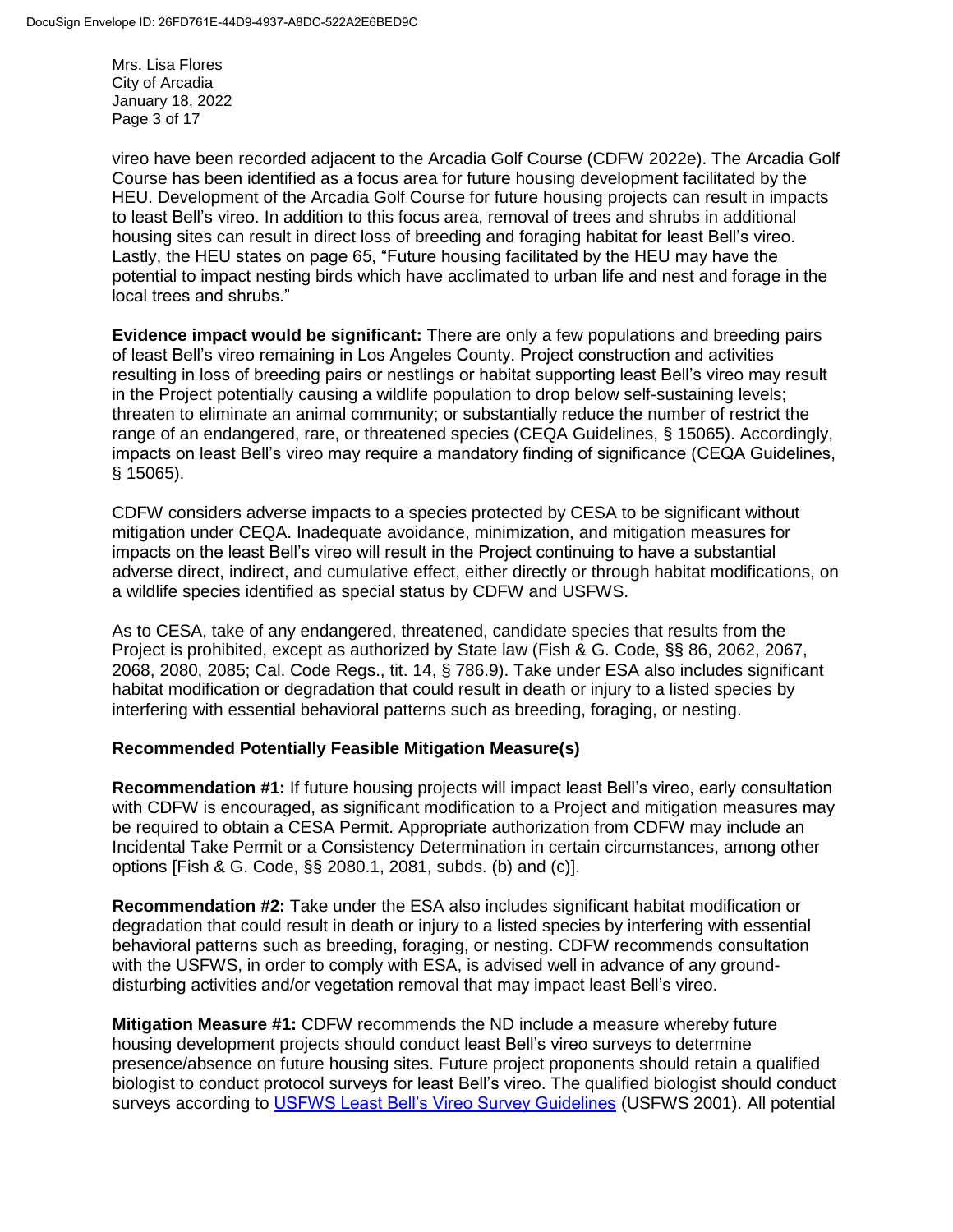Mrs. Lisa Flores City of Arcadia January 18, 2022 Page 3 of 17

vireo have been recorded adjacent to the Arcadia Golf Course (CDFW 2022e). The Arcadia Golf Course has been identified as a focus area for future housing development facilitated by the HEU. Development of the Arcadia Golf Course for future housing projects can result in impacts to least Bell's vireo. In addition to this focus area, removal of trees and shrubs in additional housing sites can result in direct loss of breeding and foraging habitat for least Bell's vireo. Lastly, the HEU states on page 65, "Future housing facilitated by the HEU may have the potential to impact nesting birds which have acclimated to urban life and nest and forage in the local trees and shrubs."

**Evidence impact would be significant:** There are only a few populations and breeding pairs of least Bell's vireo remaining in Los Angeles County. Project construction and activities resulting in loss of breeding pairs or nestlings or habitat supporting least Bell's vireo may result in the Project potentially causing a wildlife population to drop below self-sustaining levels; threaten to eliminate an animal community; or substantially reduce the number of restrict the range of an endangered, rare, or threatened species (CEQA Guidelines, § 15065). Accordingly, impacts on least Bell's vireo may require a mandatory finding of significance (CEQA Guidelines, § 15065).

CDFW considers adverse impacts to a species protected by CESA to be significant without mitigation under CEQA. Inadequate avoidance, minimization, and mitigation measures for impacts on the least Bell's vireo will result in the Project continuing to have a substantial adverse direct, indirect, and cumulative effect, either directly or through habitat modifications, on a wildlife species identified as special status by CDFW and USFWS.

As to CESA, take of any endangered, threatened, candidate species that results from the Project is prohibited, except as authorized by State law (Fish & G. Code, §§ 86, 2062, 2067, 2068, 2080, 2085; Cal. Code Regs., tit. 14, § 786.9). Take under ESA also includes significant habitat modification or degradation that could result in death or injury to a listed species by interfering with essential behavioral patterns such as breeding, foraging, or nesting.

## **Recommended Potentially Feasible Mitigation Measure(s)**

**Recommendation #1:** If future housing projects will impact least Bell's vireo, early consultation with CDFW is encouraged, as significant modification to a Project and mitigation measures may be required to obtain a CESA Permit. Appropriate authorization from CDFW may include an Incidental Take Permit or a Consistency Determination in certain circumstances, among other options [Fish & G. Code, §§ 2080.1, 2081, subds. (b) and (c)].

**Recommendation #2:** Take under the ESA also includes significant habitat modification or degradation that could result in death or injury to a listed species by interfering with essential behavioral patterns such as breeding, foraging, or nesting. CDFW recommends consultation with the USFWS, in order to comply with ESA, is advised well in advance of any grounddisturbing activities and/or vegetation removal that may impact least Bell's vireo.

**Mitigation Measure #1:** CDFW recommends the ND include a measure whereby future housing development projects should conduct least Bell's vireo surveys to determine presence/absence on future housing sites. Future project proponents should retain a qualified biologist to conduct protocol surveys for least Bell's vireo. The qualified biologist should conduct surveys according to [USFWS Least Bell's Vireo Survey Guidelines](https://www.fws.gov/ventura/docs/species/protocols/lbv/leastbellsvireo_survey-guidelines.pdf) (USFWS 2001). All potential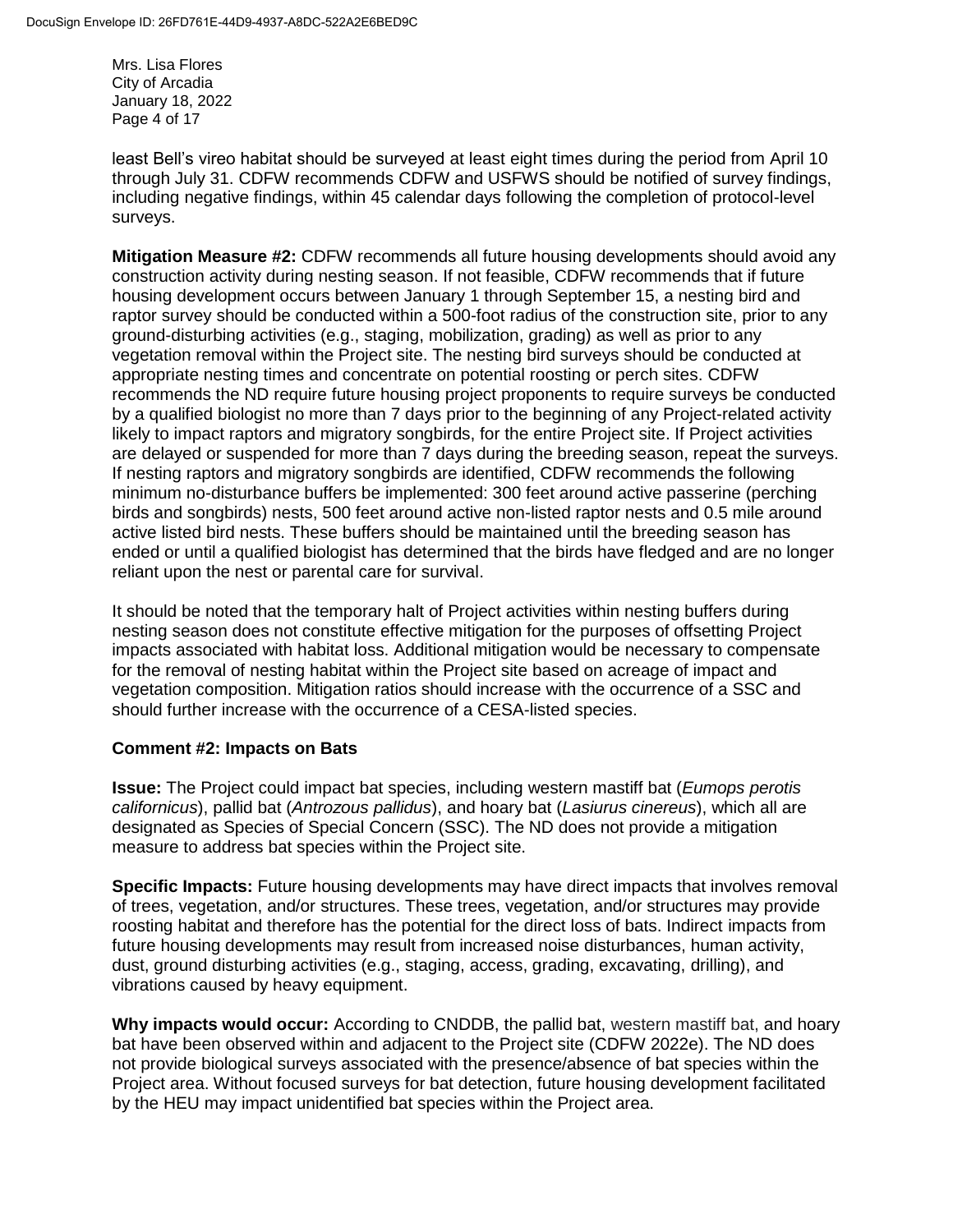Mrs. Lisa Flores City of Arcadia January 18, 2022 Page 4 of 17

least Bell's vireo habitat should be surveyed at least eight times during the period from April 10 through July 31. CDFW recommends CDFW and USFWS should be notified of survey findings, including negative findings, within 45 calendar days following the completion of protocol-level surveys.

**Mitigation Measure #2:** CDFW recommends all future housing developments should avoid any construction activity during nesting season. If not feasible, CDFW recommends that if future housing development occurs between January 1 through September 15, a nesting bird and raptor survey should be conducted within a 500-foot radius of the construction site, prior to any ground-disturbing activities (e.g., staging, mobilization, grading) as well as prior to any vegetation removal within the Project site. The nesting bird surveys should be conducted at appropriate nesting times and concentrate on potential roosting or perch sites. CDFW recommends the ND require future housing project proponents to require surveys be conducted by a qualified biologist no more than 7 days prior to the beginning of any Project-related activity likely to impact raptors and migratory songbirds, for the entire Project site. If Project activities are delayed or suspended for more than 7 days during the breeding season, repeat the surveys. If nesting raptors and migratory songbirds are identified, CDFW recommends the following minimum no-disturbance buffers be implemented: 300 feet around active passerine (perching birds and songbirds) nests, 500 feet around active non-listed raptor nests and 0.5 mile around active listed bird nests. These buffers should be maintained until the breeding season has ended or until a qualified biologist has determined that the birds have fledged and are no longer reliant upon the nest or parental care for survival.

It should be noted that the temporary halt of Project activities within nesting buffers during nesting season does not constitute effective mitigation for the purposes of offsetting Project impacts associated with habitat loss. Additional mitigation would be necessary to compensate for the removal of nesting habitat within the Project site based on acreage of impact and vegetation composition. Mitigation ratios should increase with the occurrence of a SSC and should further increase with the occurrence of a CESA-listed species.

## **Comment #2: Impacts on Bats**

**Issue:** The Project could impact bat species, including western mastiff bat (*Eumops perotis californicus*), pallid bat (*Antrozous pallidus*), and hoary bat (*Lasiurus cinereus*), which all are designated as Species of Special Concern (SSC). The ND does not provide a mitigation measure to address bat species within the Project site.

**Specific Impacts:** Future housing developments may have direct impacts that involves removal of trees, vegetation, and/or structures. These trees, vegetation, and/or structures may provide roosting habitat and therefore has the potential for the direct loss of bats. Indirect impacts from future housing developments may result from increased noise disturbances, human activity, dust, ground disturbing activities (e.g., staging, access, grading, excavating, drilling), and vibrations caused by heavy equipment.

**Why impacts would occur:** According to CNDDB, the pallid bat, western mastiff bat, and hoary bat have been observed within and adjacent to the Project site (CDFW 2022e). The ND does not provide biological surveys associated with the presence/absence of bat species within the Project area. Without focused surveys for bat detection, future housing development facilitated by the HEU may impact unidentified bat species within the Project area.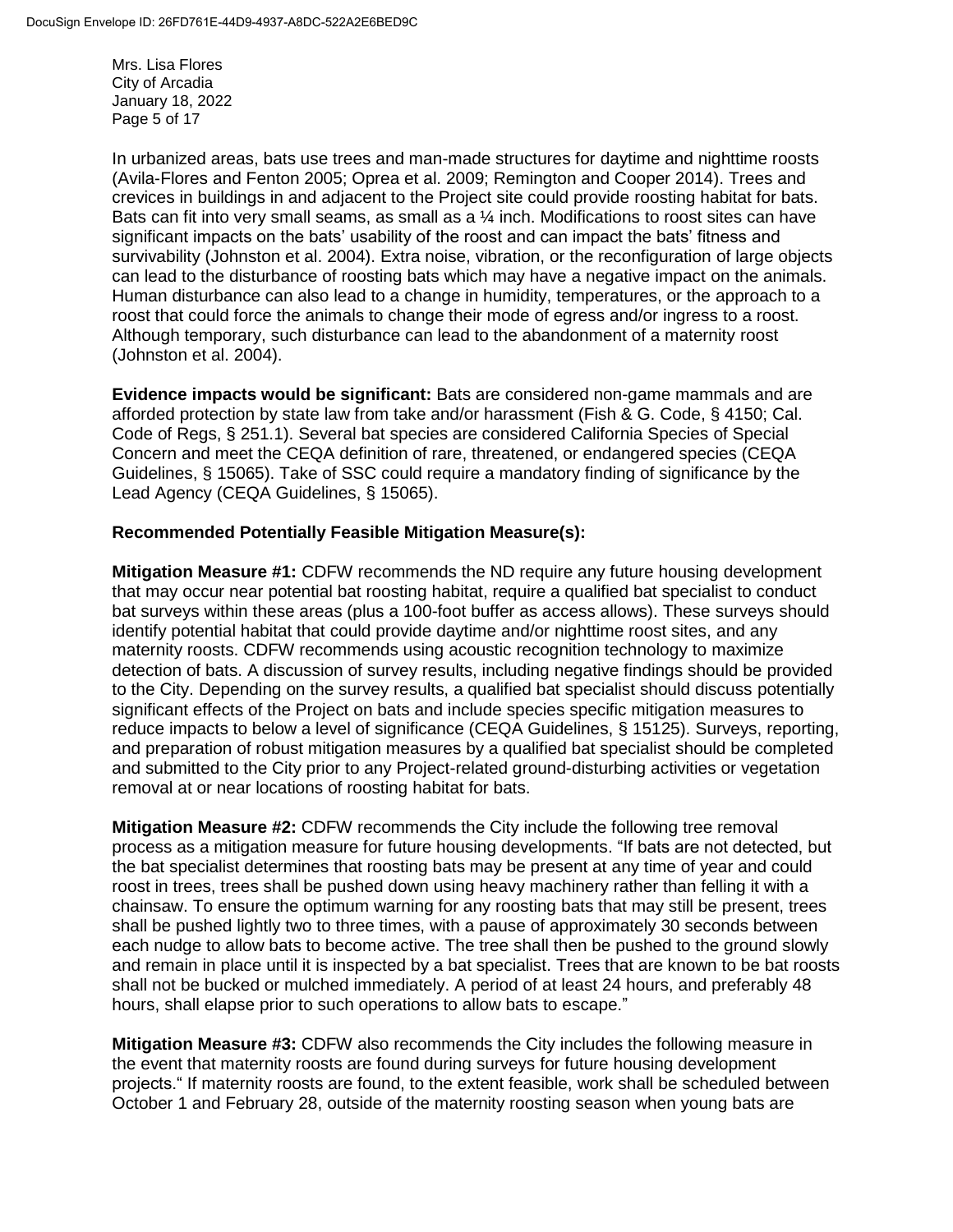Mrs. Lisa Flores City of Arcadia January 18, 2022 Page 5 of 17

In urbanized areas, bats use trees and man-made structures for daytime and nighttime roosts (Avila-Flores and Fenton 2005; Oprea et al. 2009; Remington and Cooper 2014). Trees and crevices in buildings in and adjacent to the Project site could provide roosting habitat for bats. Bats can fit into very small seams, as small as a ¼ inch. Modifications to roost sites can have significant impacts on the bats' usability of the roost and can impact the bats' fitness and survivability (Johnston et al. 2004). Extra noise, vibration, or the reconfiguration of large objects can lead to the disturbance of roosting bats which may have a negative impact on the animals. Human disturbance can also lead to a change in humidity, temperatures, or the approach to a roost that could force the animals to change their mode of egress and/or ingress to a roost. Although temporary, such disturbance can lead to the abandonment of a maternity roost (Johnston et al. 2004).

**Evidence impacts would be significant:** Bats are considered non-game mammals and are afforded protection by state law from take and/or harassment (Fish & G. Code, § 4150; Cal. Code of Regs, § 251.1). Several bat species are considered California Species of Special Concern and meet the CEQA definition of rare, threatened, or endangered species (CEQA Guidelines, § 15065). Take of SSC could require a mandatory finding of significance by the Lead Agency (CEQA Guidelines, § 15065).

### **Recommended Potentially Feasible Mitigation Measure(s):**

**Mitigation Measure #1:** CDFW recommends the ND require any future housing development that may occur near potential bat roosting habitat, require a qualified bat specialist to conduct bat surveys within these areas (plus a 100-foot buffer as access allows). These surveys should identify potential habitat that could provide daytime and/or nighttime roost sites, and any maternity roosts. CDFW recommends using acoustic recognition technology to maximize detection of bats. A discussion of survey results, including negative findings should be provided to the City. Depending on the survey results, a qualified bat specialist should discuss potentially significant effects of the Project on bats and include species specific mitigation measures to reduce impacts to below a level of significance (CEQA Guidelines, § 15125). Surveys, reporting, and preparation of robust mitigation measures by a qualified bat specialist should be completed and submitted to the City prior to any Project-related ground-disturbing activities or vegetation removal at or near locations of roosting habitat for bats.

**Mitigation Measure #2:** CDFW recommends the City include the following tree removal process as a mitigation measure for future housing developments. "If bats are not detected, but the bat specialist determines that roosting bats may be present at any time of year and could roost in trees, trees shall be pushed down using heavy machinery rather than felling it with a chainsaw. To ensure the optimum warning for any roosting bats that may still be present, trees shall be pushed lightly two to three times, with a pause of approximately 30 seconds between each nudge to allow bats to become active. The tree shall then be pushed to the ground slowly and remain in place until it is inspected by a bat specialist. Trees that are known to be bat roosts shall not be bucked or mulched immediately. A period of at least 24 hours, and preferably 48 hours, shall elapse prior to such operations to allow bats to escape."

**Mitigation Measure #3:** CDFW also recommends the City includes the following measure in the event that maternity roosts are found during surveys for future housing development projects." If maternity roosts are found, to the extent feasible, work shall be scheduled between October 1 and February 28, outside of the maternity roosting season when young bats are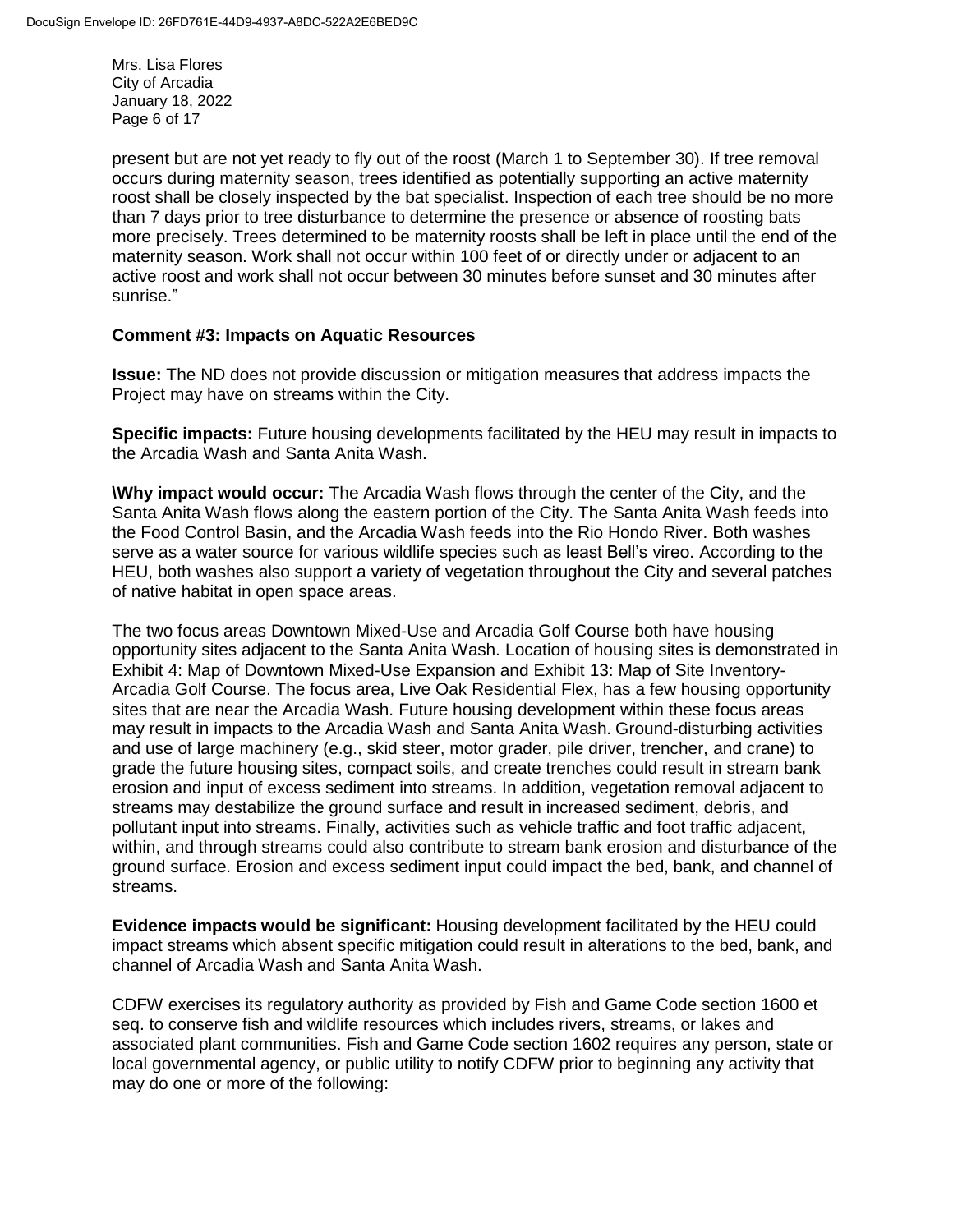Mrs. Lisa Flores City of Arcadia January 18, 2022 Page 6 of 17

present but are not yet ready to fly out of the roost (March 1 to September 30). If tree removal occurs during maternity season, trees identified as potentially supporting an active maternity roost shall be closely inspected by the bat specialist. Inspection of each tree should be no more than 7 days prior to tree disturbance to determine the presence or absence of roosting bats more precisely. Trees determined to be maternity roosts shall be left in place until the end of the maternity season. Work shall not occur within 100 feet of or directly under or adjacent to an active roost and work shall not occur between 30 minutes before sunset and 30 minutes after sunrise."

#### **Comment #3: Impacts on Aquatic Resources**

**Issue:** The ND does not provide discussion or mitigation measures that address impacts the Project may have on streams within the City.

**Specific impacts:** Future housing developments facilitated by the HEU may result in impacts to the Arcadia Wash and Santa Anita Wash.

**\Why impact would occur:** The Arcadia Wash flows through the center of the City, and the Santa Anita Wash flows along the eastern portion of the City. The Santa Anita Wash feeds into the Food Control Basin, and the Arcadia Wash feeds into the Rio Hondo River. Both washes serve as a water source for various wildlife species such as least Bell's vireo. According to the HEU, both washes also support a variety of vegetation throughout the City and several patches of native habitat in open space areas.

The two focus areas Downtown Mixed-Use and Arcadia Golf Course both have housing opportunity sites adjacent to the Santa Anita Wash. Location of housing sites is demonstrated in Exhibit 4: Map of Downtown Mixed-Use Expansion and Exhibit 13: Map of Site Inventory-Arcadia Golf Course. The focus area, Live Oak Residential Flex, has a few housing opportunity sites that are near the Arcadia Wash. Future housing development within these focus areas may result in impacts to the Arcadia Wash and Santa Anita Wash. Ground-disturbing activities and use of large machinery (e.g., skid steer, motor grader, pile driver, trencher, and crane) to grade the future housing sites, compact soils, and create trenches could result in stream bank erosion and input of excess sediment into streams. In addition, vegetation removal adjacent to streams may destabilize the ground surface and result in increased sediment, debris, and pollutant input into streams. Finally, activities such as vehicle traffic and foot traffic adjacent, within, and through streams could also contribute to stream bank erosion and disturbance of the ground surface. Erosion and excess sediment input could impact the bed, bank, and channel of streams.

**Evidence impacts would be significant:** Housing development facilitated by the HEU could impact streams which absent specific mitigation could result in alterations to the bed, bank, and channel of Arcadia Wash and Santa Anita Wash.

CDFW exercises its regulatory authority as provided by Fish and Game Code section 1600 et seq. to conserve fish and wildlife resources which includes rivers, streams, or lakes and associated plant communities. Fish and Game Code section 1602 requires any person, state or local governmental agency, or public utility to notify CDFW prior to beginning any activity that may do one or more of the following: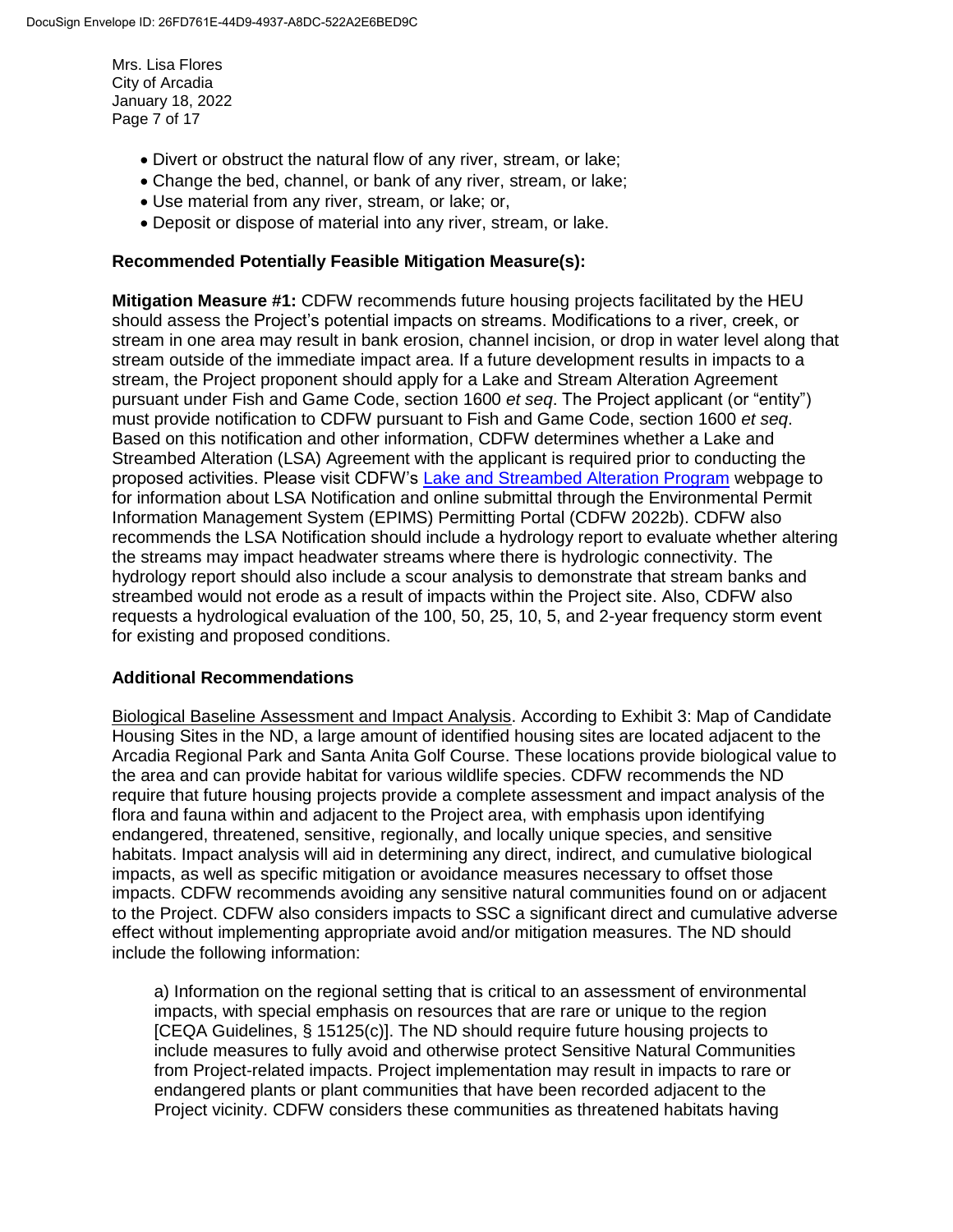Mrs. Lisa Flores City of Arcadia January 18, 2022 Page 7 of 17

- Divert or obstruct the natural flow of any river, stream, or lake;
- Change the bed, channel, or bank of any river, stream, or lake;
- Use material from any river, stream, or lake; or,
- Deposit or dispose of material into any river, stream, or lake.

#### **Recommended Potentially Feasible Mitigation Measure(s):**

**Mitigation Measure #1:** CDFW recommends future housing projects facilitated by the HEU should assess the Project's potential impacts on streams. Modifications to a river, creek, or stream in one area may result in bank erosion, channel incision, or drop in water level along that stream outside of the immediate impact area. If a future development results in impacts to a stream, the Project proponent should apply for a Lake and Stream Alteration Agreement pursuant under Fish and Game Code, section 1600 *et seq*. The Project applicant (or "entity") must provide notification to CDFW pursuant to Fish and Game Code, section 1600 *et seq*. Based on this notification and other information, CDFW determines whether a Lake and Streambed Alteration (LSA) Agreement with the applicant is required prior to conducting the proposed activities. Please visit CDFW's [Lake and Streambed Alteration Program](https://wildlife.ca.gov/Conservation/Environmental-Review/LSA) webpage to for information about LSA Notification and online submittal through the Environmental Permit Information Management System (EPIMS) Permitting Portal (CDFW 2022b). CDFW also recommends the LSA Notification should include a hydrology report to evaluate whether altering the streams may impact headwater streams where there is hydrologic connectivity. The hydrology report should also include a scour analysis to demonstrate that stream banks and streambed would not erode as a result of impacts within the Project site. Also, CDFW also requests a hydrological evaluation of the 100, 50, 25, 10, 5, and 2-year frequency storm event for existing and proposed conditions.

#### **Additional Recommendations**

Biological Baseline Assessment and Impact Analysis. According to Exhibit 3: Map of Candidate Housing Sites in the ND, a large amount of identified housing sites are located adjacent to the Arcadia Regional Park and Santa Anita Golf Course. These locations provide biological value to the area and can provide habitat for various wildlife species. CDFW recommends the ND require that future housing projects provide a complete assessment and impact analysis of the flora and fauna within and adjacent to the Project area, with emphasis upon identifying endangered, threatened, sensitive, regionally, and locally unique species, and sensitive habitats. Impact analysis will aid in determining any direct, indirect, and cumulative biological impacts, as well as specific mitigation or avoidance measures necessary to offset those impacts. CDFW recommends avoiding any sensitive natural communities found on or adjacent to the Project. CDFW also considers impacts to SSC a significant direct and cumulative adverse effect without implementing appropriate avoid and/or mitigation measures. The ND should include the following information:

a) Information on the regional setting that is critical to an assessment of environmental impacts, with special emphasis on resources that are rare or unique to the region [CEQA Guidelines, § 15125(c)]. The ND should require future housing projects to include measures to fully avoid and otherwise protect Sensitive Natural Communities from Project-related impacts. Project implementation may result in impacts to rare or endangered plants or plant communities that have been recorded adjacent to the Project vicinity. CDFW considers these communities as threatened habitats having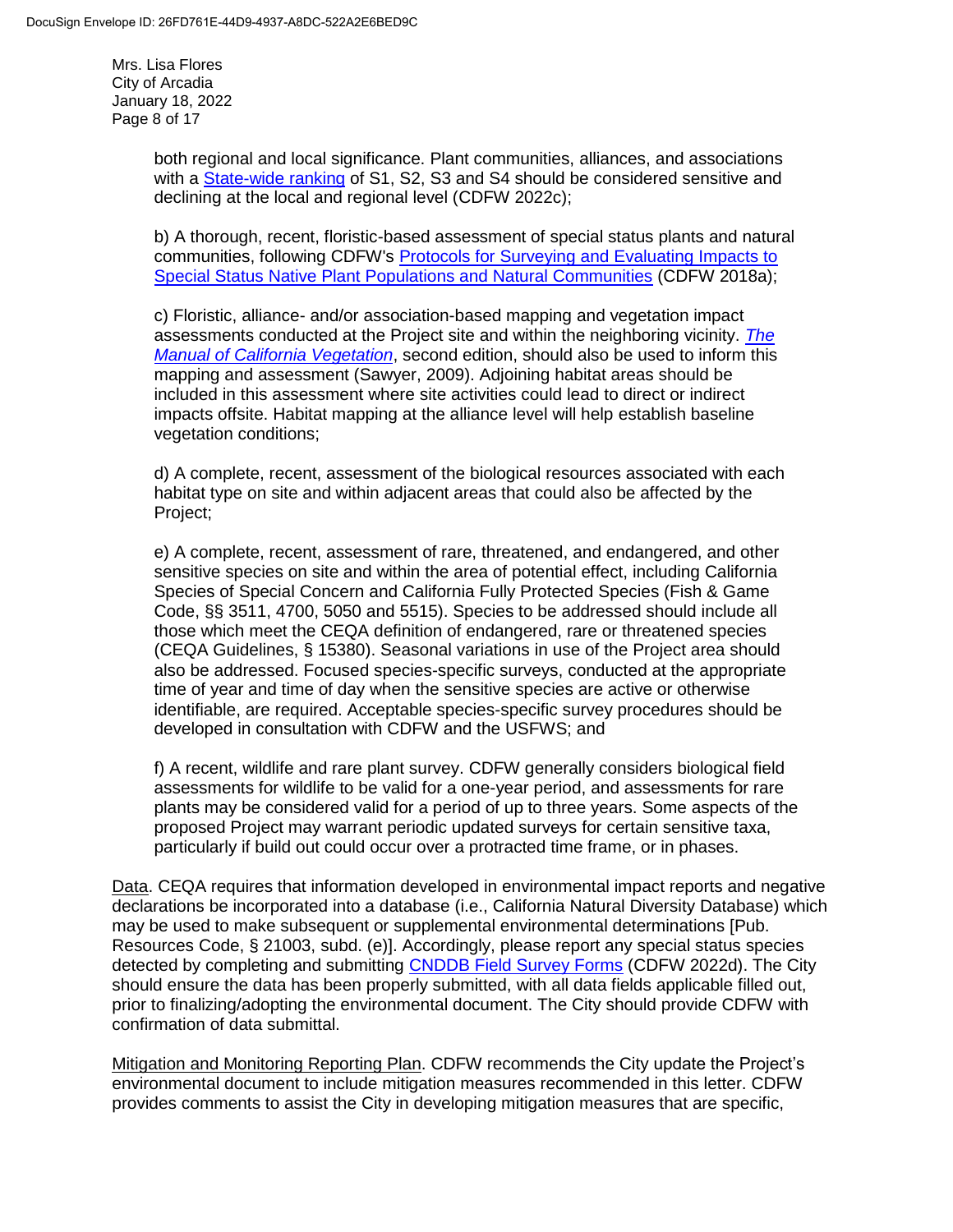Mrs. Lisa Flores City of Arcadia January 18, 2022 Page 8 of 17

> both regional and local significance. Plant communities, alliances, and associations with a [State-wide ranking](https://wildlife.ca.gov/Data/VegCAMP/Natural-Communities#sensitive%20natural%20communities) of S1, S2, S3 and S4 should be considered sensitive and declining at the local and regional level (CDFW 2022c);

b) A thorough, recent, floristic-based assessment of special status plants and natural communities, following CDFW's [Protocols for Surveying and Evaluating Impacts to](https://nrm.dfg.ca.gov/FileHandler.ashx?DocumentID=18959&inline) [Special Status Native Plant Populations and Natural Communities](https://nrm.dfg.ca.gov/FileHandler.ashx?DocumentID=18959&inline) (CDFW 2018a);

c) Floristic, alliance- and/or association-based mapping and vegetation impact assessments conducted at the Project site and within the neighboring vicinity. *[The](https://vegetation.cnps.org/) [Manual of California Vegetation](https://vegetation.cnps.org/)*, second edition, should also be used to inform this mapping and assessment (Sawyer, 2009). Adjoining habitat areas should be included in this assessment where site activities could lead to direct or indirect impacts offsite. Habitat mapping at the alliance level will help establish baseline vegetation conditions;

d) A complete, recent, assessment of the biological resources associated with each habitat type on site and within adjacent areas that could also be affected by the Project;

e) A complete, recent, assessment of rare, threatened, and endangered, and other sensitive species on site and within the area of potential effect, including California Species of Special Concern and California Fully Protected Species (Fish & Game Code, §§ 3511, 4700, 5050 and 5515). Species to be addressed should include all those which meet the CEQA definition of endangered, rare or threatened species (CEQA Guidelines, § 15380). Seasonal variations in use of the Project area should also be addressed. Focused species-specific surveys, conducted at the appropriate time of year and time of day when the sensitive species are active or otherwise identifiable, are required. Acceptable species-specific survey procedures should be developed in consultation with CDFW and the USFWS; and

f) A recent, wildlife and rare plant survey. CDFW generally considers biological field assessments for wildlife to be valid for a one-year period, and assessments for rare plants may be considered valid for a period of up to three years. Some aspects of the proposed Project may warrant periodic updated surveys for certain sensitive taxa, particularly if build out could occur over a protracted time frame, or in phases.

Data. CEQA requires that information developed in environmental impact reports and negative declarations be incorporated into a database (i.e., California Natural Diversity Database) which may be used to make subsequent or supplemental environmental determinations [Pub. Resources Code, § 21003, subd. (e)]. Accordingly, please report any special status species detected by completing and submitting [CNDDB Field Survey Forms](https://wildlife.ca.gov/Data/CNDDB/Submitting-Data) (CDFW 2022d). The City should ensure the data has been properly submitted, with all data fields applicable filled out, prior to finalizing/adopting the environmental document. The City should provide CDFW with confirmation of data submittal.

Mitigation and Monitoring Reporting Plan. CDFW recommends the City update the Project's environmental document to include mitigation measures recommended in this letter. CDFW provides comments to assist the City in developing mitigation measures that are specific,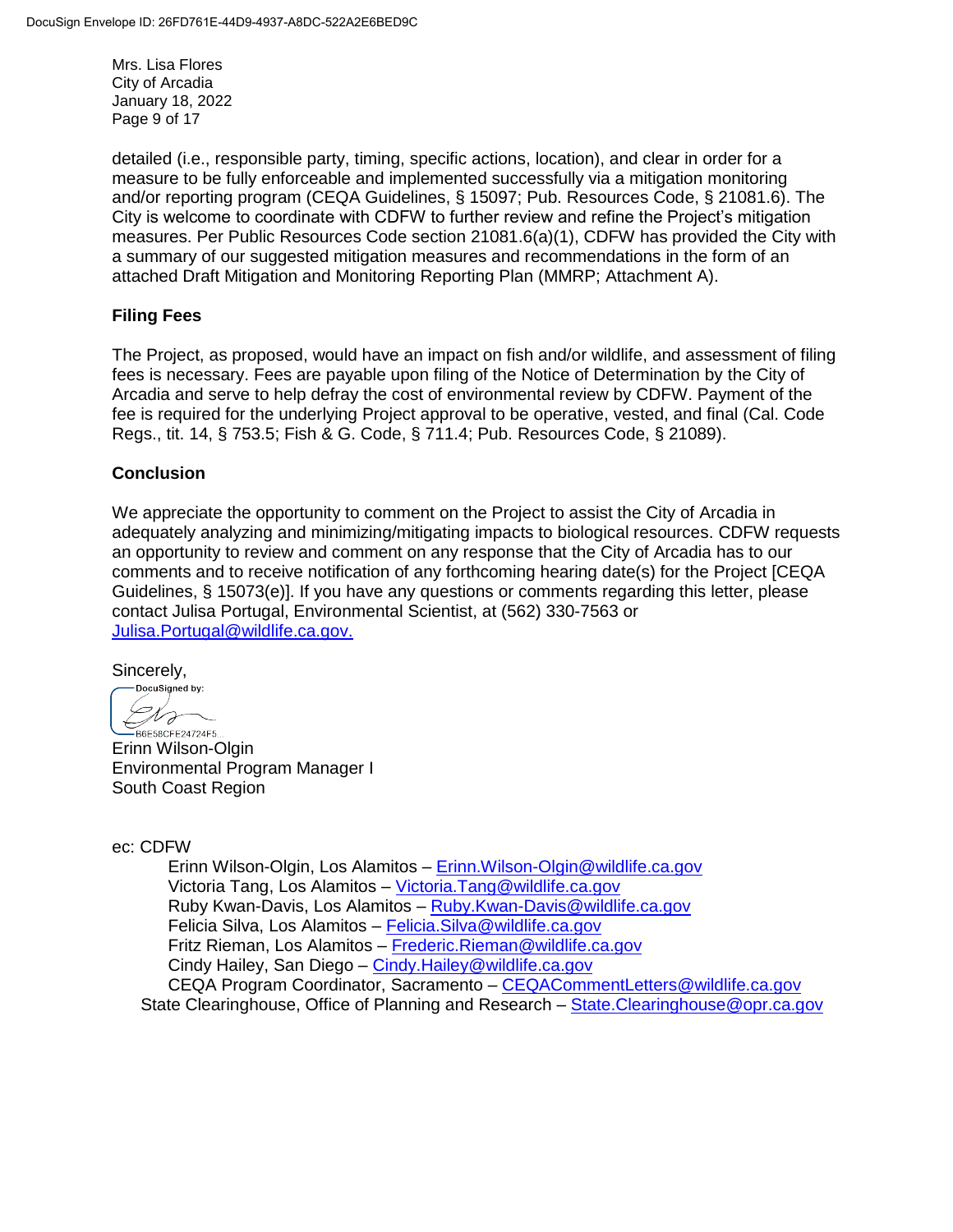Mrs. Lisa Flores City of Arcadia January 18, 2022 Page 9 of 17

detailed (i.e., responsible party, timing, specific actions, location), and clear in order for a measure to be fully enforceable and implemented successfully via a mitigation monitoring and/or reporting program (CEQA Guidelines, § 15097; Pub. Resources Code, § 21081.6). The City is welcome to coordinate with CDFW to further review and refine the Project's mitigation measures. Per Public Resources Code section 21081.6(a)(1), CDFW has provided the City with a summary of our suggested mitigation measures and recommendations in the form of an attached Draft Mitigation and Monitoring Reporting Plan (MMRP; Attachment A).

## **Filing Fees**

The Project, as proposed, would have an impact on fish and/or wildlife, and assessment of filing fees is necessary. Fees are payable upon filing of the Notice of Determination by the City of Arcadia and serve to help defray the cost of environmental review by CDFW. Payment of the fee is required for the underlying Project approval to be operative, vested, and final (Cal. Code Regs., tit. 14, § 753.5; Fish & G. Code, § 711.4; Pub. Resources Code, § 21089).

### **Conclusion**

We appreciate the opportunity to comment on the Project to assist the City of Arcadia in adequately analyzing and minimizing/mitigating impacts to biological resources. CDFW requests an opportunity to review and comment on any response that the City of Arcadia has to our comments and to receive notification of any forthcoming hearing date(s) for the Project [CEQA Guidelines, § 15073(e)]. If you have any questions or comments regarding this letter, please contact Julisa Portugal, Environmental Scientist, at (562) 330-7563 or [Julisa.Portugal@wildlife.ca.gov.](mailto:Julisa.Portugal@wildlife.ca.gov)

Sincerely,

DocuSigned by: Dro B6E58CFE24724F5..

Erinn Wilson-Olgin Environmental Program Manager I South Coast Region

ec: CDFW

Erinn Wilson-Olgin, Los Alamitos – [Erinn.Wilson-Olgin@wildlife.ca.gov](mailto:Erinn.Wilson-Olgin@wildlife.ca.gov) Victoria Tang, Los Alamitos – [Victoria.Tang@wildlife.ca.gov](mailto:Victoria.Tang@wildlife.ca.gov) Ruby Kwan-Davis, Los Alamitos – [Ruby.Kwan-Davis@wildlife.ca.gov](mailto:Ruby.Kwan-Davis@wildlife.ca.gov) Felicia Silva, Los Alamitos – [Felicia.Silva@wildlife.ca.gov](mailto:Felicia.Silva@wildlife.ca.gov) Fritz Rieman, Los Alamitos – [Frederic.Rieman@wildlife.ca.gov](mailto:Frederic.Rieman@wildlife.ca.gov) Cindy Hailey, San Diego – [Cindy.Hailey@wildlife.ca.gov](mailto:Cindy.Hailey@wildlife.ca.gov) CEQA Program Coordinator, Sacramento – [CEQACommentLetters@wildlife.ca.gov](mailto:CEQACommentLetters@wildlife.ca.gov)  State Clearinghouse, Office of Planning and Research – [State.Clearinghouse@opr.ca.gov](mailto:State.Clearinghouse@opr.ca.gov)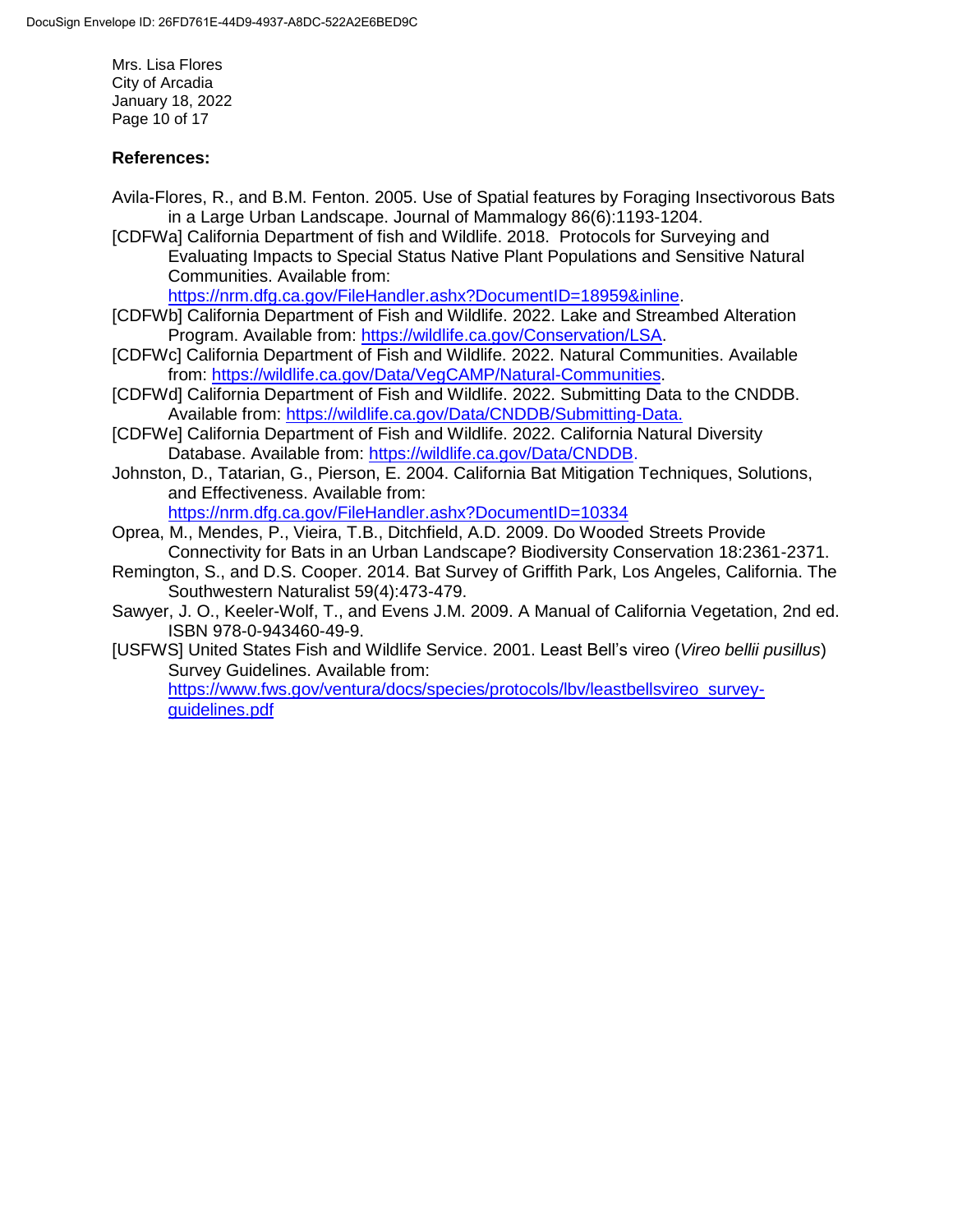Mrs. Lisa Flores City of Arcadia January 18, 2022 Page 10 of 17

## **References:**

- Avila-Flores, R., and B.M. Fenton. 2005. Use of Spatial features by Foraging Insectivorous Bats in a Large Urban Landscape. Journal of Mammalogy 86(6):1193-1204.
- [CDFWa] California Department of fish and Wildlife. 2018. Protocols for Surveying and Evaluating Impacts to Special Status Native Plant Populations and Sensitive Natural Communities. Available from:

[https://nrm.dfg.ca.gov/FileHandler.ashx?DocumentID=18959&inline.](https://nrm.dfg.ca.gov/FileHandler.ashx?DocumentID=18959&inline)

- [CDFWb] California Department of Fish and Wildlife. 2022. Lake and Streambed Alteration Program. Available from: [https://wildlife.ca.gov/Conservation/LSA.](https://wildlife.ca.gov/Conservation/LSA)
- [CDFWc] California Department of Fish and Wildlife. 2022. Natural Communities. Available from: [https://wildlife.ca.gov/Data/VegCAMP/Natural-Communities.](https://wildlife.ca.gov/Data/VegCAMP/Natural-Communities)
- [CDFWd] California Department of Fish and Wildlife. 2022. Submitting Data to the CNDDB. Available from: [https://wildlife.ca.gov/Data/CNDDB/Submitting-Data.](https://wildlife.ca.gov/Data/CNDDB/Submitting-Data)
- [CDFWe] California Department of Fish and Wildlife. 2022. California Natural Diversity Database. Available from: [https://wildlife.ca.gov/Data/CNDDB.](https://wildlife.ca.gov/Data/CNDDB)
- Johnston, D., Tatarian, G., Pierson, E. 2004. California Bat Mitigation Techniques, Solutions, and Effectiveness. Available from:

<https://nrm.dfg.ca.gov/FileHandler.ashx?DocumentID=10334>

Oprea, M., Mendes, P., Vieira, T.B., Ditchfield, A.D. 2009. Do Wooded Streets Provide Connectivity for Bats in an Urban Landscape? Biodiversity Conservation 18:2361-2371.

- Remington, S., and D.S. Cooper. 2014. Bat Survey of Griffith Park, Los Angeles, California. The Southwestern Naturalist 59(4):473-479.
- Sawyer, J. O., Keeler-Wolf, T., and Evens J.M. 2009. A Manual of California Vegetation, 2nd ed. ISBN 978-0-943460-49-9.
- [USFWS] United States Fish and Wildlife Service. 2001. Least Bell's vireo (*Vireo bellii pusillus*) Survey Guidelines. Available from:

[https://www.fws.gov/ventura/docs/species/protocols/lbv/leastbellsvireo\\_survey](https://www.fws.gov/ventura/docs/species/protocols/lbv/leastbellsvireo_survey-guidelines.pdf)[guidelines.pdf](https://www.fws.gov/ventura/docs/species/protocols/lbv/leastbellsvireo_survey-guidelines.pdf)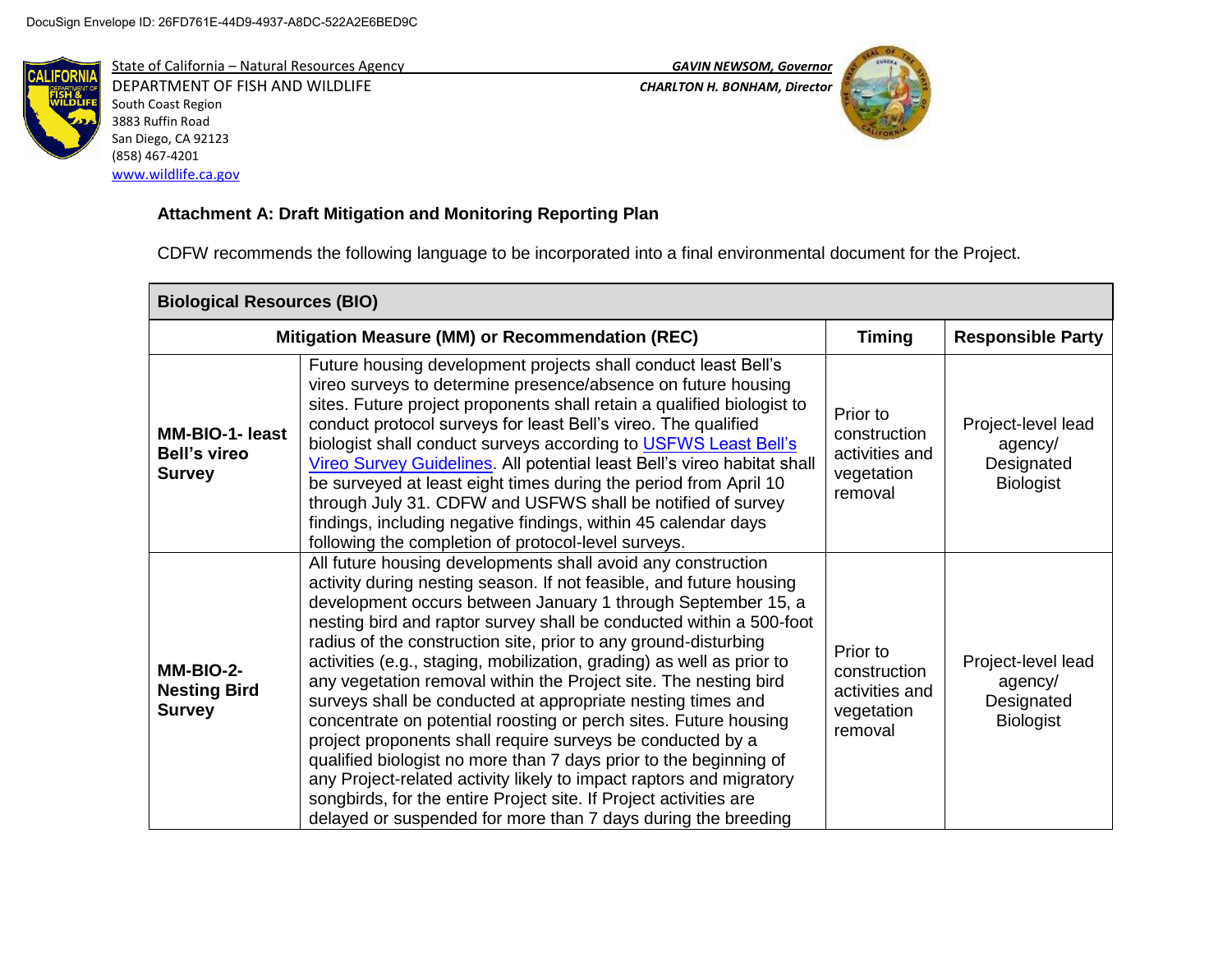

State of California – Natural Resources Agency *GAVIN NEWSOM, Governor* DEPARTMENT OF FISH AND WILDLIFE *CHARLTON H. BONHAM, Director*  South Coast Region 3883 Ruffin Road San Diego, CA 92123 (858) 467-4201 [www.wildlife.ca.gov](http://www.wildlife.ca.gov/)



# **Attachment A: Draft Mitigation and Monitoring Reporting Plan**

CDFW recommends the following language to be incorporated into a final environmental document for the Project.

| <b>Biological Resources (BIO)</b>                              |                                                                                                                                                                                                                                                                                                                                                                                                                                                                                                                                                                                                                                                                                                                                                                                                                                                                                                                                                                               |                                                                     |                                                                 |
|----------------------------------------------------------------|-------------------------------------------------------------------------------------------------------------------------------------------------------------------------------------------------------------------------------------------------------------------------------------------------------------------------------------------------------------------------------------------------------------------------------------------------------------------------------------------------------------------------------------------------------------------------------------------------------------------------------------------------------------------------------------------------------------------------------------------------------------------------------------------------------------------------------------------------------------------------------------------------------------------------------------------------------------------------------|---------------------------------------------------------------------|-----------------------------------------------------------------|
|                                                                | Mitigation Measure (MM) or Recommendation (REC)                                                                                                                                                                                                                                                                                                                                                                                                                                                                                                                                                                                                                                                                                                                                                                                                                                                                                                                               | <b>Timing</b>                                                       | <b>Responsible Party</b>                                        |
| <b>MM-BIO-1- least</b><br><b>Bell's vireo</b><br><b>Survey</b> | Future housing development projects shall conduct least Bell's<br>vireo surveys to determine presence/absence on future housing<br>sites. Future project proponents shall retain a qualified biologist to<br>conduct protocol surveys for least Bell's vireo. The qualified<br>biologist shall conduct surveys according to USFWS Least Bell's<br>Vireo Survey Guidelines. All potential least Bell's vireo habitat shall<br>be surveyed at least eight times during the period from April 10<br>through July 31. CDFW and USFWS shall be notified of survey<br>findings, including negative findings, within 45 calendar days<br>following the completion of protocol-level surveys.                                                                                                                                                                                                                                                                                         | Prior to<br>construction<br>activities and<br>vegetation<br>removal | Project-level lead<br>agency/<br>Designated<br><b>Biologist</b> |
| MM-BIO-2-<br><b>Nesting Bird</b><br><b>Survey</b>              | All future housing developments shall avoid any construction<br>activity during nesting season. If not feasible, and future housing<br>development occurs between January 1 through September 15, a<br>nesting bird and raptor survey shall be conducted within a 500-foot<br>radius of the construction site, prior to any ground-disturbing<br>activities (e.g., staging, mobilization, grading) as well as prior to<br>any vegetation removal within the Project site. The nesting bird<br>surveys shall be conducted at appropriate nesting times and<br>concentrate on potential roosting or perch sites. Future housing<br>project proponents shall require surveys be conducted by a<br>qualified biologist no more than 7 days prior to the beginning of<br>any Project-related activity likely to impact raptors and migratory<br>songbirds, for the entire Project site. If Project activities are<br>delayed or suspended for more than 7 days during the breeding | Prior to<br>construction<br>activities and<br>vegetation<br>removal | Project-level lead<br>agency/<br>Designated<br><b>Biologist</b> |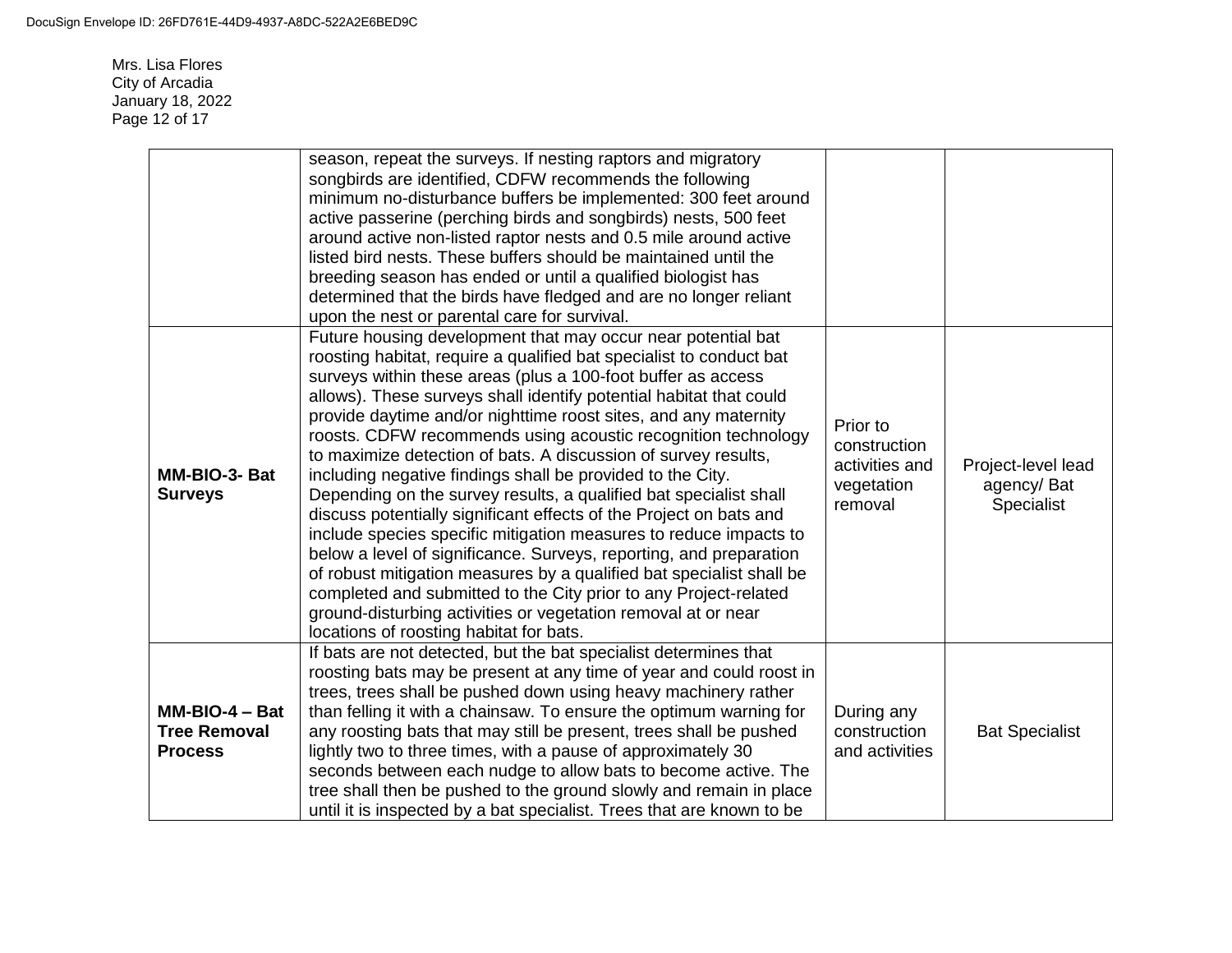Mrs. Lisa Flores City of Arcadia January 18, 2022 Page 12 of 17

| MM-BIO-3- Bat<br><b>Surveys</b>                           | season, repeat the surveys. If nesting raptors and migratory<br>songbirds are identified, CDFW recommends the following<br>minimum no-disturbance buffers be implemented: 300 feet around<br>active passerine (perching birds and songbirds) nests, 500 feet<br>around active non-listed raptor nests and 0.5 mile around active<br>listed bird nests. These buffers should be maintained until the<br>breeding season has ended or until a qualified biologist has<br>determined that the birds have fledged and are no longer reliant<br>upon the nest or parental care for survival.<br>Future housing development that may occur near potential bat<br>roosting habitat, require a qualified bat specialist to conduct bat<br>surveys within these areas (plus a 100-foot buffer as access<br>allows). These surveys shall identify potential habitat that could<br>provide daytime and/or nighttime roost sites, and any maternity<br>roosts. CDFW recommends using acoustic recognition technology<br>to maximize detection of bats. A discussion of survey results,<br>including negative findings shall be provided to the City.<br>Depending on the survey results, a qualified bat specialist shall<br>discuss potentially significant effects of the Project on bats and<br>include species specific mitigation measures to reduce impacts to<br>below a level of significance. Surveys, reporting, and preparation<br>of robust mitigation measures by a qualified bat specialist shall be | Prior to<br>construction<br>activities and<br>vegetation<br>removal | Project-level lead<br>agency/Bat<br>Specialist |
|-----------------------------------------------------------|--------------------------------------------------------------------------------------------------------------------------------------------------------------------------------------------------------------------------------------------------------------------------------------------------------------------------------------------------------------------------------------------------------------------------------------------------------------------------------------------------------------------------------------------------------------------------------------------------------------------------------------------------------------------------------------------------------------------------------------------------------------------------------------------------------------------------------------------------------------------------------------------------------------------------------------------------------------------------------------------------------------------------------------------------------------------------------------------------------------------------------------------------------------------------------------------------------------------------------------------------------------------------------------------------------------------------------------------------------------------------------------------------------------------------------------------------------------------------------------------------------|---------------------------------------------------------------------|------------------------------------------------|
|                                                           | completed and submitted to the City prior to any Project-related<br>ground-disturbing activities or vegetation removal at or near<br>locations of roosting habitat for bats.                                                                                                                                                                                                                                                                                                                                                                                                                                                                                                                                                                                                                                                                                                                                                                                                                                                                                                                                                                                                                                                                                                                                                                                                                                                                                                                           |                                                                     |                                                |
| $MM-BIO-4 - Bat$<br><b>Tree Removal</b><br><b>Process</b> | If bats are not detected, but the bat specialist determines that<br>roosting bats may be present at any time of year and could roost in<br>trees, trees shall be pushed down using heavy machinery rather<br>than felling it with a chainsaw. To ensure the optimum warning for<br>any roosting bats that may still be present, trees shall be pushed<br>lightly two to three times, with a pause of approximately 30<br>seconds between each nudge to allow bats to become active. The<br>tree shall then be pushed to the ground slowly and remain in place<br>until it is inspected by a bat specialist. Trees that are known to be                                                                                                                                                                                                                                                                                                                                                                                                                                                                                                                                                                                                                                                                                                                                                                                                                                                                 | During any<br>construction<br>and activities                        | <b>Bat Specialist</b>                          |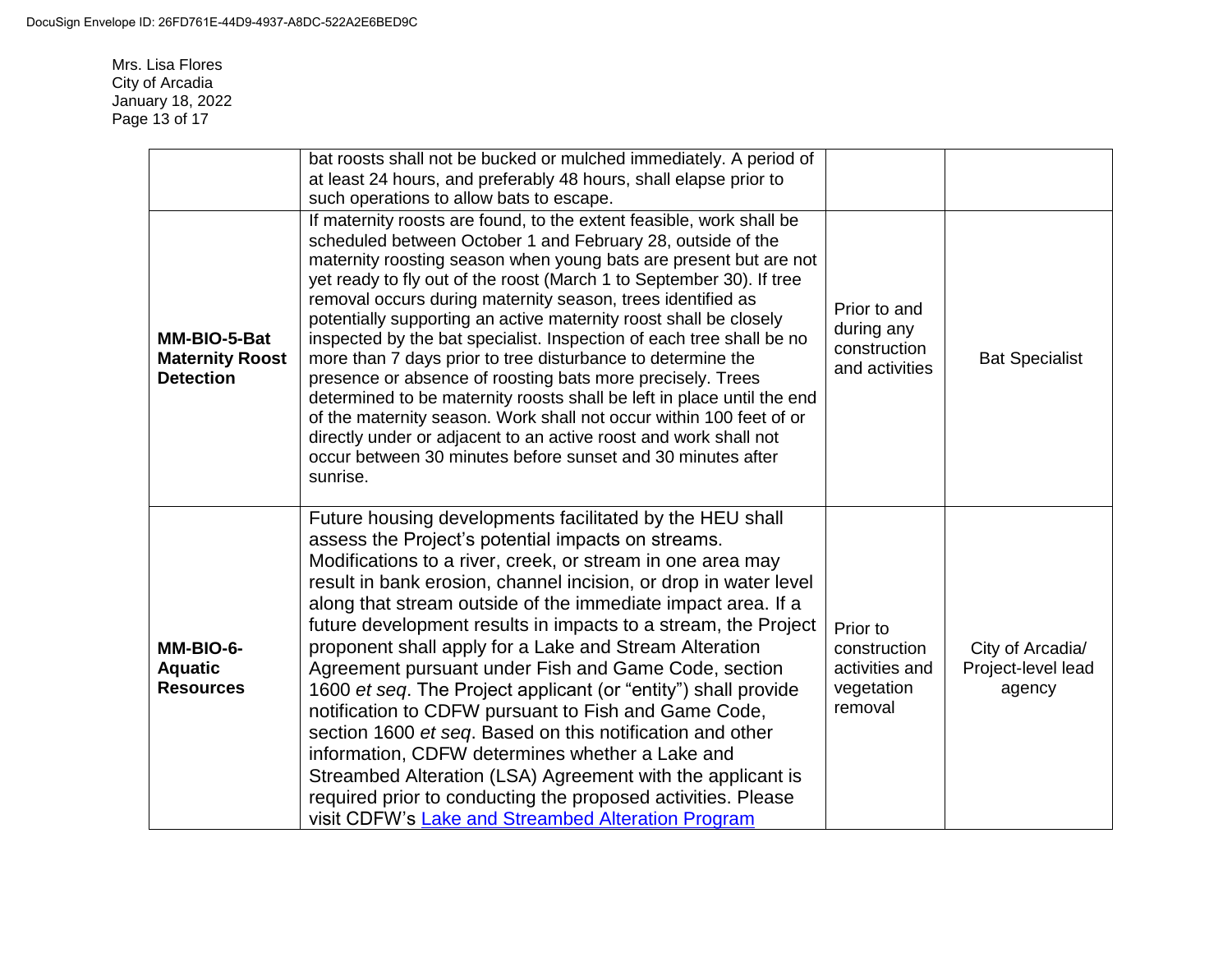Mrs. Lisa Flores City of Arcadia January 18, 2022 Page 13 of 17

|                                                            | bat roosts shall not be bucked or mulched immediately. A period of<br>at least 24 hours, and preferably 48 hours, shall elapse prior to<br>such operations to allow bats to escape.                                                                                                                                                                                                                                                                                                                                                                                                                                                                                                                                                                                                                                                                                                                                                |                                                                     |                                                  |
|------------------------------------------------------------|------------------------------------------------------------------------------------------------------------------------------------------------------------------------------------------------------------------------------------------------------------------------------------------------------------------------------------------------------------------------------------------------------------------------------------------------------------------------------------------------------------------------------------------------------------------------------------------------------------------------------------------------------------------------------------------------------------------------------------------------------------------------------------------------------------------------------------------------------------------------------------------------------------------------------------|---------------------------------------------------------------------|--------------------------------------------------|
| MM-BIO-5-Bat<br><b>Maternity Roost</b><br><b>Detection</b> | If maternity roosts are found, to the extent feasible, work shall be<br>scheduled between October 1 and February 28, outside of the<br>maternity roosting season when young bats are present but are not<br>yet ready to fly out of the roost (March 1 to September 30). If tree<br>removal occurs during maternity season, trees identified as<br>potentially supporting an active maternity roost shall be closely<br>inspected by the bat specialist. Inspection of each tree shall be no<br>more than 7 days prior to tree disturbance to determine the<br>presence or absence of roosting bats more precisely. Trees<br>determined to be maternity roosts shall be left in place until the end<br>of the maternity season. Work shall not occur within 100 feet of or<br>directly under or adjacent to an active roost and work shall not<br>occur between 30 minutes before sunset and 30 minutes after<br>sunrise.          | Prior to and<br>during any<br>construction<br>and activities        | <b>Bat Specialist</b>                            |
| MM-BIO-6-<br><b>Aquatic</b><br><b>Resources</b>            | Future housing developments facilitated by the HEU shall<br>assess the Project's potential impacts on streams.<br>Modifications to a river, creek, or stream in one area may<br>result in bank erosion, channel incision, or drop in water level<br>along that stream outside of the immediate impact area. If a<br>future development results in impacts to a stream, the Project<br>proponent shall apply for a Lake and Stream Alteration<br>Agreement pursuant under Fish and Game Code, section<br>1600 et seq. The Project applicant (or "entity") shall provide<br>notification to CDFW pursuant to Fish and Game Code,<br>section 1600 et seq. Based on this notification and other<br>information, CDFW determines whether a Lake and<br>Streambed Alteration (LSA) Agreement with the applicant is<br>required prior to conducting the proposed activities. Please<br>visit CDFW's Lake and Streambed Alteration Program | Prior to<br>construction<br>activities and<br>vegetation<br>removal | City of Arcadia/<br>Project-level lead<br>agency |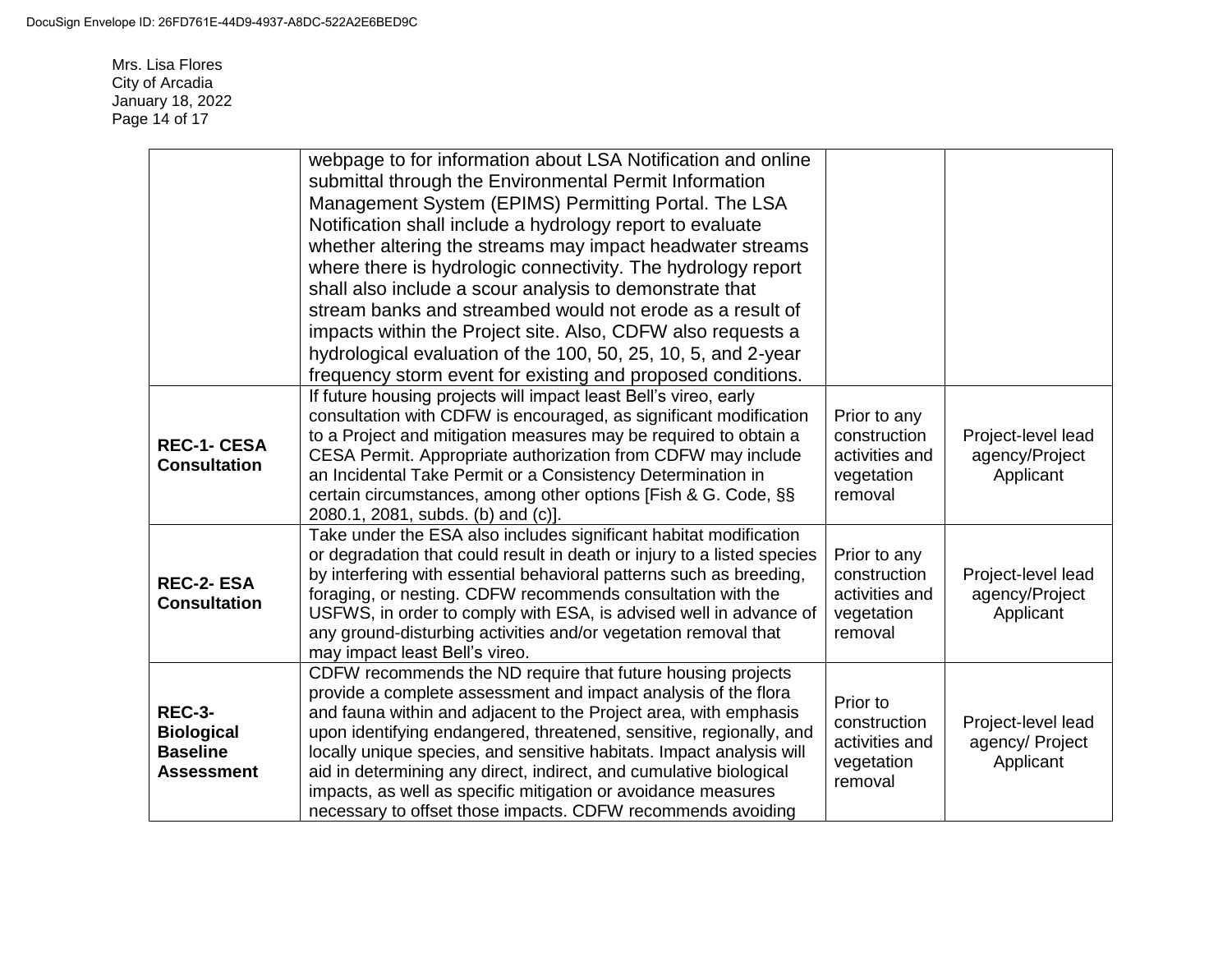Mrs. Lisa Flores City of Arcadia January 18, 2022 Page 14 of 17

|                                                                            | webpage to for information about LSA Notification and online<br>submittal through the Environmental Permit Information<br>Management System (EPIMS) Permitting Portal. The LSA<br>Notification shall include a hydrology report to evaluate<br>whether altering the streams may impact headwater streams<br>where there is hydrologic connectivity. The hydrology report<br>shall also include a scour analysis to demonstrate that<br>stream banks and streambed would not erode as a result of<br>impacts within the Project site. Also, CDFW also requests a<br>hydrological evaluation of the 100, 50, 25, 10, 5, and 2-year<br>frequency storm event for existing and proposed conditions. |                                                                         |                                                    |
|----------------------------------------------------------------------------|-------------------------------------------------------------------------------------------------------------------------------------------------------------------------------------------------------------------------------------------------------------------------------------------------------------------------------------------------------------------------------------------------------------------------------------------------------------------------------------------------------------------------------------------------------------------------------------------------------------------------------------------------------------------------------------------------|-------------------------------------------------------------------------|----------------------------------------------------|
| <b>REC-1- CESA</b><br><b>Consultation</b>                                  | If future housing projects will impact least Bell's vireo, early<br>consultation with CDFW is encouraged, as significant modification<br>to a Project and mitigation measures may be required to obtain a<br>CESA Permit. Appropriate authorization from CDFW may include<br>an Incidental Take Permit or a Consistency Determination in<br>certain circumstances, among other options [Fish & G. Code, §§<br>2080.1, 2081, subds. (b) and (c)].                                                                                                                                                                                                                                                | Prior to any<br>construction<br>activities and<br>vegetation<br>removal | Project-level lead<br>agency/Project<br>Applicant  |
| <b>REC-2-ESA</b><br><b>Consultation</b>                                    | Take under the ESA also includes significant habitat modification<br>or degradation that could result in death or injury to a listed species<br>by interfering with essential behavioral patterns such as breeding,<br>foraging, or nesting. CDFW recommends consultation with the<br>USFWS, in order to comply with ESA, is advised well in advance of<br>any ground-disturbing activities and/or vegetation removal that<br>may impact least Bell's vireo.                                                                                                                                                                                                                                    | Prior to any<br>construction<br>activities and<br>vegetation<br>removal | Project-level lead<br>agency/Project<br>Applicant  |
| <b>REC-3-</b><br><b>Biological</b><br><b>Baseline</b><br><b>Assessment</b> | CDFW recommends the ND require that future housing projects<br>provide a complete assessment and impact analysis of the flora<br>and fauna within and adjacent to the Project area, with emphasis<br>upon identifying endangered, threatened, sensitive, regionally, and<br>locally unique species, and sensitive habitats. Impact analysis will<br>aid in determining any direct, indirect, and cumulative biological<br>impacts, as well as specific mitigation or avoidance measures<br>necessary to offset those impacts. CDFW recommends avoiding                                                                                                                                          | Prior to<br>construction<br>activities and<br>vegetation<br>removal     | Project-level lead<br>agency/ Project<br>Applicant |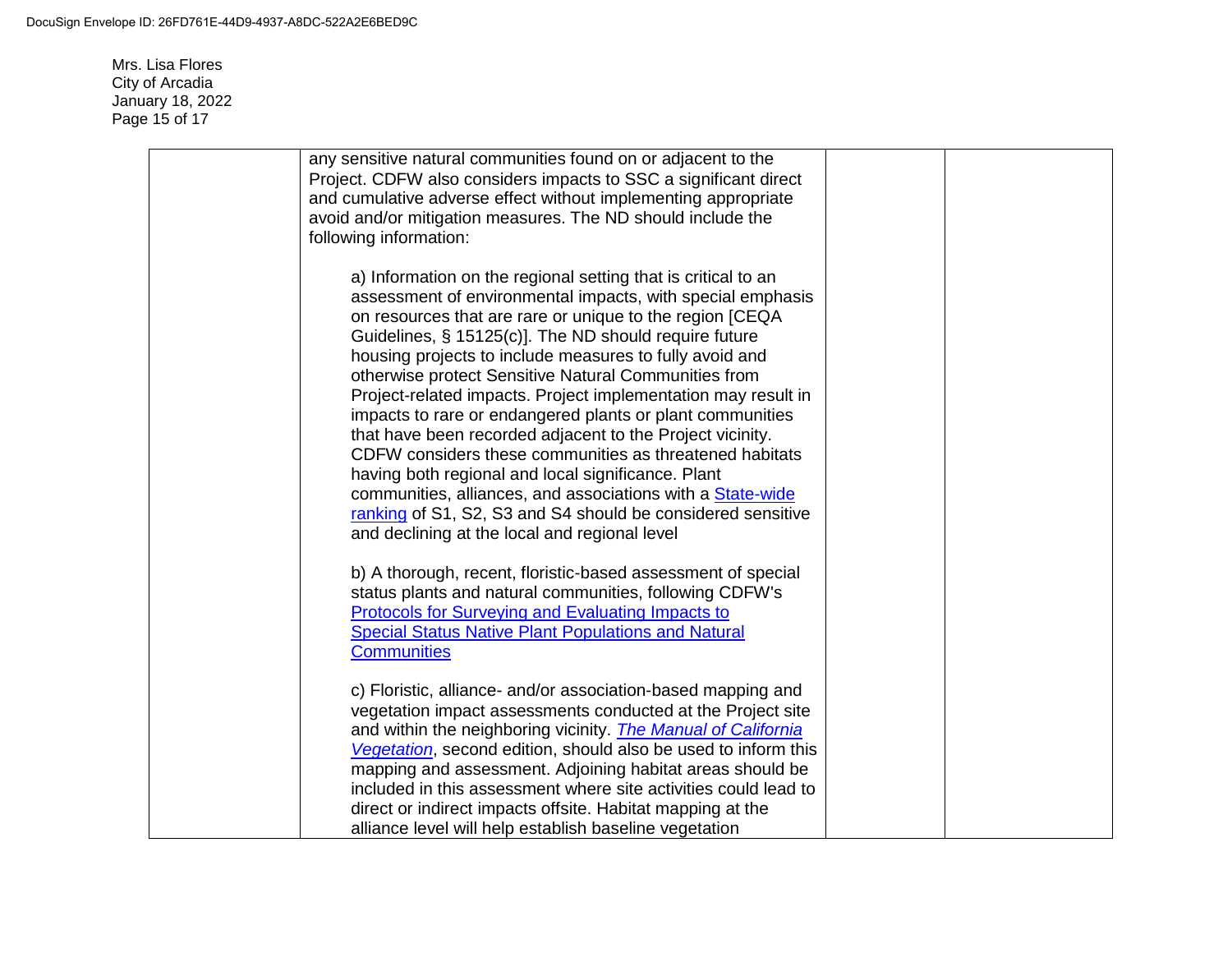Mrs. Lisa Flores City of Arcadia January 18, 2022 Page 15 of 17

| any sensitive natural communities found on or adjacent to the<br>Project. CDFW also considers impacts to SSC a significant direct<br>and cumulative adverse effect without implementing appropriate<br>avoid and/or mitigation measures. The ND should include the<br>following information:                                                                                                                                                                                                                                                                                                                                                                                                                                                                                                                                                                         |  |
|----------------------------------------------------------------------------------------------------------------------------------------------------------------------------------------------------------------------------------------------------------------------------------------------------------------------------------------------------------------------------------------------------------------------------------------------------------------------------------------------------------------------------------------------------------------------------------------------------------------------------------------------------------------------------------------------------------------------------------------------------------------------------------------------------------------------------------------------------------------------|--|
| a) Information on the regional setting that is critical to an<br>assessment of environmental impacts, with special emphasis<br>on resources that are rare or unique to the region [CEQA<br>Guidelines, § 15125(c)]. The ND should require future<br>housing projects to include measures to fully avoid and<br>otherwise protect Sensitive Natural Communities from<br>Project-related impacts. Project implementation may result in<br>impacts to rare or endangered plants or plant communities<br>that have been recorded adjacent to the Project vicinity.<br>CDFW considers these communities as threatened habitats<br>having both regional and local significance. Plant<br>communities, alliances, and associations with a <b>State-wide</b><br>ranking of S1, S2, S3 and S4 should be considered sensitive<br>and declining at the local and regional level |  |
| b) A thorough, recent, floristic-based assessment of special<br>status plants and natural communities, following CDFW's<br>Protocols for Surveying and Evaluating Impacts to<br><b>Special Status Native Plant Populations and Natural</b><br><b>Communities</b>                                                                                                                                                                                                                                                                                                                                                                                                                                                                                                                                                                                                     |  |
| c) Floristic, alliance- and/or association-based mapping and<br>vegetation impact assessments conducted at the Project site<br>and within the neighboring vicinity. <i>The Manual of California</i><br>Vegetation, second edition, should also be used to inform this<br>mapping and assessment. Adjoining habitat areas should be<br>included in this assessment where site activities could lead to<br>direct or indirect impacts offsite. Habitat mapping at the<br>alliance level will help establish baseline vegetation                                                                                                                                                                                                                                                                                                                                        |  |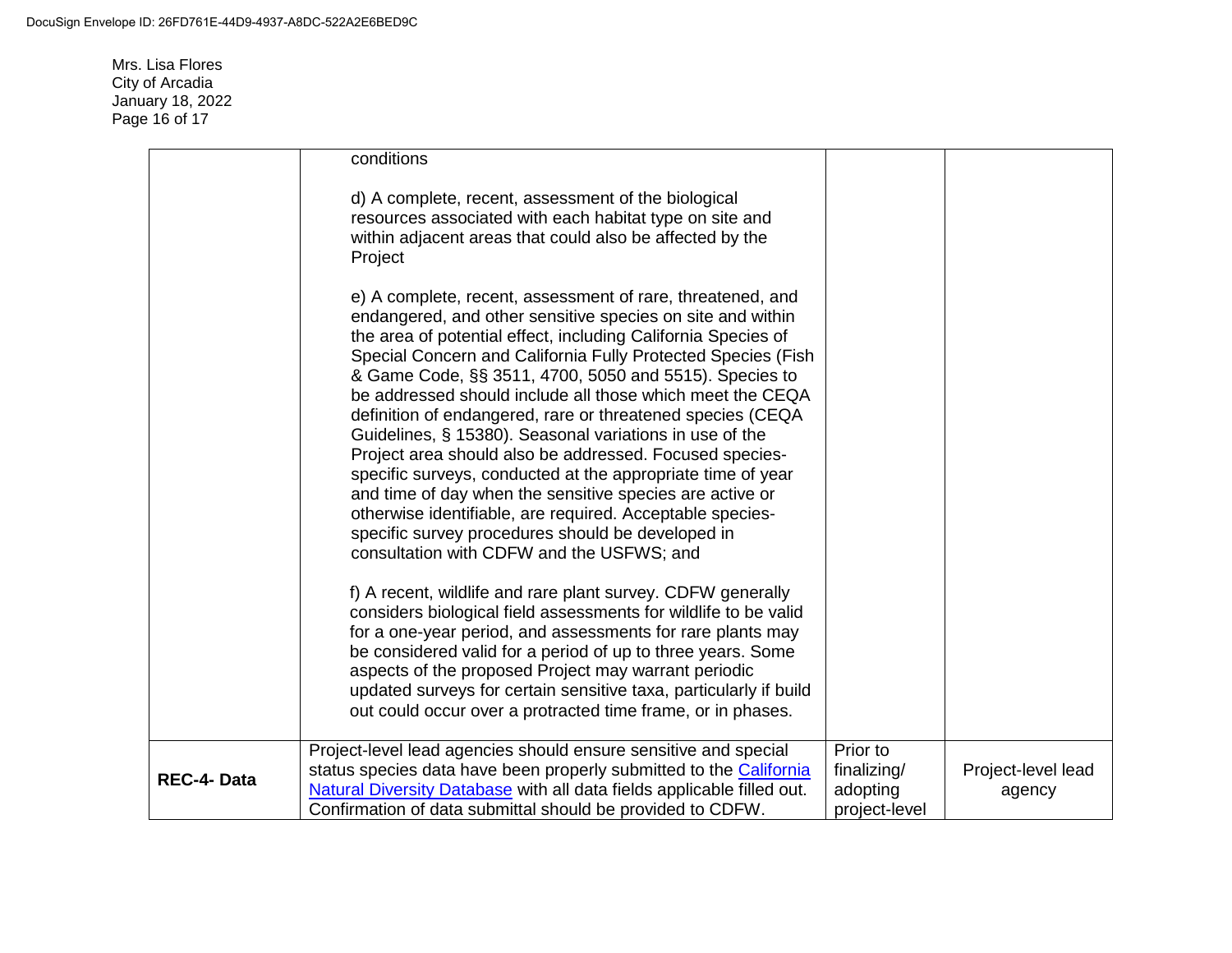Mrs. Lisa Flores City of Arcadia January 18, 2022 Page 16 of 17

|            | conditions                                                                                                                                                                                                                                                                                                                                                                                                                                                                                                                                                                                                                                                                                                                                                                                                                                                     |                                                      |                              |
|------------|----------------------------------------------------------------------------------------------------------------------------------------------------------------------------------------------------------------------------------------------------------------------------------------------------------------------------------------------------------------------------------------------------------------------------------------------------------------------------------------------------------------------------------------------------------------------------------------------------------------------------------------------------------------------------------------------------------------------------------------------------------------------------------------------------------------------------------------------------------------|------------------------------------------------------|------------------------------|
|            | d) A complete, recent, assessment of the biological<br>resources associated with each habitat type on site and<br>within adjacent areas that could also be affected by the<br>Project                                                                                                                                                                                                                                                                                                                                                                                                                                                                                                                                                                                                                                                                          |                                                      |                              |
|            | e) A complete, recent, assessment of rare, threatened, and<br>endangered, and other sensitive species on site and within<br>the area of potential effect, including California Species of<br>Special Concern and California Fully Protected Species (Fish<br>& Game Code, §§ 3511, 4700, 5050 and 5515). Species to<br>be addressed should include all those which meet the CEQA<br>definition of endangered, rare or threatened species (CEQA<br>Guidelines, § 15380). Seasonal variations in use of the<br>Project area should also be addressed. Focused species-<br>specific surveys, conducted at the appropriate time of year<br>and time of day when the sensitive species are active or<br>otherwise identifiable, are required. Acceptable species-<br>specific survey procedures should be developed in<br>consultation with CDFW and the USFWS; and |                                                      |                              |
|            | f) A recent, wildlife and rare plant survey. CDFW generally<br>considers biological field assessments for wildlife to be valid<br>for a one-year period, and assessments for rare plants may<br>be considered valid for a period of up to three years. Some<br>aspects of the proposed Project may warrant periodic<br>updated surveys for certain sensitive taxa, particularly if build<br>out could occur over a protracted time frame, or in phases.                                                                                                                                                                                                                                                                                                                                                                                                        |                                                      |                              |
| REC-4-Data | Project-level lead agencies should ensure sensitive and special<br>status species data have been properly submitted to the California<br>Natural Diversity Database with all data fields applicable filled out.<br>Confirmation of data submittal should be provided to CDFW.                                                                                                                                                                                                                                                                                                                                                                                                                                                                                                                                                                                  | Prior to<br>finalizing/<br>adopting<br>project-level | Project-level lead<br>agency |